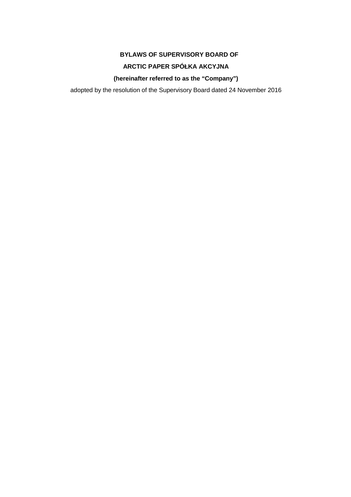# **BYLAWS OF SUPERVISORY BOARD OF**

# **ARCTIC PAPER SPÓŁKA AKCYJNA**

**(hereinafter referred to as the "Company")** 

adopted by the resolution of the Supervisory Board dated 24 November 2016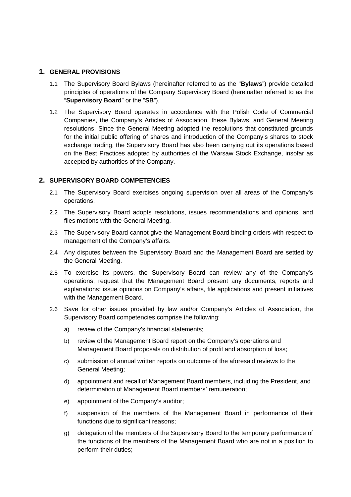#### **1. GENERAL PROVISIONS**

- 1.1 The Supervisory Board Bylaws (hereinafter referred to as the "**Bylaws**") provide detailed principles of operations of the Company Supervisory Board (hereinafter referred to as the "**Supervisory Board**" or the "**SB**").
- 1.2 The Supervisory Board operates in accordance with the Polish Code of Commercial Companies, the Company's Articles of Association, these Bylaws, and General Meeting resolutions. Since the General Meeting adopted the resolutions that constituted grounds for the initial public offering of shares and introduction of the Company's shares to stock exchange trading, the Supervisory Board has also been carrying out its operations based on the Best Practices adopted by authorities of the Warsaw Stock Exchange, insofar as accepted by authorities of the Company.

## **2. SUPERVISORY BOARD COMPETENCIES**

- 2.1 The Supervisory Board exercises ongoing supervision over all areas of the Company's operations.
- 2.2 The Supervisory Board adopts resolutions, issues recommendations and opinions, and files motions with the General Meeting.
- 2.3 The Supervisory Board cannot give the Management Board binding orders with respect to management of the Company's affairs.
- 2.4 Any disputes between the Supervisory Board and the Management Board are settled by the General Meeting.
- 2.5 To exercise its powers, the Supervisory Board can review any of the Company's operations, request that the Management Board present any documents, reports and explanations; issue opinions on Company's affairs, file applications and present initiatives with the Management Board.
- 2.6 Save for other issues provided by law and/or Company's Articles of Association, the Supervisory Board competencies comprise the following:
	- a) review of the Company's financial statements;
	- b) review of the Management Board report on the Company's operations and Management Board proposals on distribution of profit and absorption of loss;
	- c) submission of annual written reports on outcome of the aforesaid reviews to the General Meeting;
	- d) appointment and recall of Management Board members, including the President, and determination of Management Board members' remuneration;
	- e) appointment of the Company's auditor;
	- f) suspension of the members of the Management Board in performance of their functions due to significant reasons;
	- g) delegation of the members of the Supervisory Board to the temporary performance of the functions of the members of the Management Board who are not in a position to perform their duties;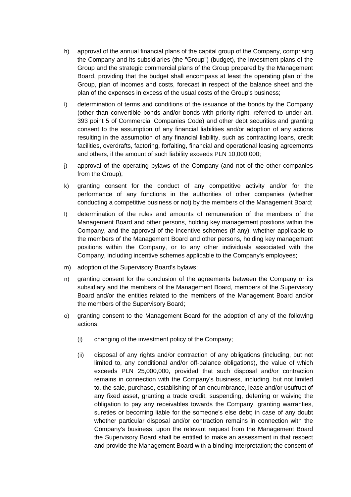- h) approval of the annual financial plans of the capital group of the Company, comprising the Company and its subsidiaries (the "Group") (budget), the investment plans of the Group and the strategic commercial plans of the Group prepared by the Management Board, providing that the budget shall encompass at least the operating plan of the Group, plan of incomes and costs, forecast in respect of the balance sheet and the plan of the expenses in excess of the usual costs of the Group's business;
- i) determination of terms and conditions of the issuance of the bonds by the Company (other than convertible bonds and/or bonds with priority right, referred to under art. 393 point 5 of Commercial Companies Code) and other debt securities and granting consent to the assumption of any financial liabilities and/or adoption of any actions resulting in the assumption of any financial liability, such as contracting loans, credit facilities, overdrafts, factoring, forfaiting, financial and operational leasing agreements and others, if the amount of such liability exceeds PLN 10,000,000;
- j) approval of the operating bylaws of the Company (and not of the other companies from the Group);
- k) granting consent for the conduct of any competitive activity and/or for the performance of any functions in the authorities of other companies (whether conducting a competitive business or not) by the members of the Management Board;
- l) determination of the rules and amounts of remuneration of the members of the Management Board and other persons, holding key management positions within the Company, and the approval of the incentive schemes (if any), whether applicable to the members of the Management Board and other persons, holding key management positions within the Company, or to any other individuals associated with the Company, including incentive schemes applicable to the Company's employees;
- m) adoption of the Supervisory Board's bylaws;
- n) granting consent for the conclusion of the agreements between the Company or its subsidiary and the members of the Management Board, members of the Supervisory Board and/or the entities related to the members of the Management Board and/or the members of the Supervisory Board;
- o) granting consent to the Management Board for the adoption of any of the following actions:
	- (i) changing of the investment policy of the Company;
	- (ii) disposal of any rights and/or contraction of any obligations (including, but not limited to, any conditional and/or off-balance obligations), the value of which exceeds PLN 25,000,000, provided that such disposal and/or contraction remains in connection with the Company's business, including, but not limited to, the sale, purchase, establishing of an encumbrance, lease and/or usufruct of any fixed asset, granting a trade credit, suspending, deferring or waiving the obligation to pay any receivables towards the Company, granting warranties, sureties or becoming liable for the someone's else debt; in case of any doubt whether particular disposal and/or contraction remains in connection with the Company's business, upon the relevant request from the Management Board the Supervisory Board shall be entitled to make an assessment in that respect and provide the Management Board with a binding interpretation; the consent of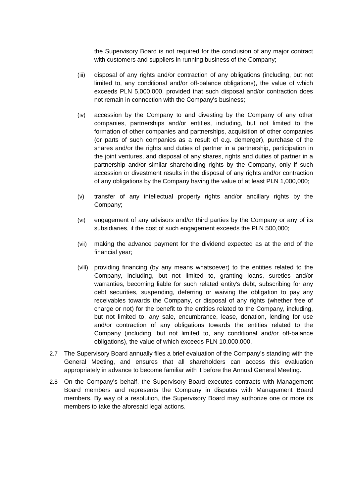the Supervisory Board is not required for the conclusion of any major contract with customers and suppliers in running business of the Company;

- (iii) disposal of any rights and/or contraction of any obligations (including, but not limited to, any conditional and/or off-balance obligations), the value of which exceeds PLN 5,000,000, provided that such disposal and/or contraction does not remain in connection with the Company's business;
- (iv) accession by the Company to and divesting by the Company of any other companies, partnerships and/or entities, including, but not limited to the formation of other companies and partnerships, acquisition of other companies (or parts of such companies as a result of e.g. demerger), purchase of the shares and/or the rights and duties of partner in a partnership, participation in the joint ventures, and disposal of any shares, rights and duties of partner in a partnership and/or similar shareholding rights by the Company, only if such accession or divestment results in the disposal of any rights and/or contraction of any obligations by the Company having the value of at least PLN 1,000,000;
- (v) transfer of any intellectual property rights and/or ancillary rights by the Company;
- (vi) engagement of any advisors and/or third parties by the Company or any of its subsidiaries, if the cost of such engagement exceeds the PLN 500,000;
- (vii) making the advance payment for the dividend expected as at the end of the financial year;
- (viii) providing financing (by any means whatsoever) to the entities related to the Company, including, but not limited to, granting loans, sureties and/or warranties, becoming liable for such related entity's debt, subscribing for any debt securities, suspending, deferring or waiving the obligation to pay any receivables towards the Company, or disposal of any rights (whether free of charge or not) for the benefit to the entities related to the Company, including, but not limited to, any sale, encumbrance, lease, donation, lending for use and/or contraction of any obligations towards the entities related to the Company (including, but not limited to, any conditional and/or off-balance obligations), the value of which exceeds PLN 10,000,000.
- 2.7 The Supervisory Board annually files a brief evaluation of the Company's standing with the General Meeting, and ensures that all shareholders can access this evaluation appropriately in advance to become familiar with it before the Annual General Meeting.
- 2.8 On the Company's behalf, the Supervisory Board executes contracts with Management Board members and represents the Company in disputes with Management Board members. By way of a resolution, the Supervisory Board may authorize one or more its members to take the aforesaid legal actions.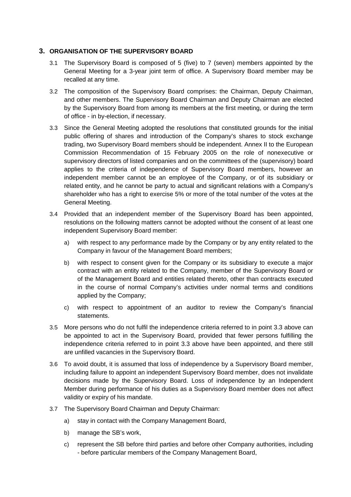## **3. ORGANISATION OF THE SUPERVISORY BOARD**

- 3.1 The Supervisory Board is composed of 5 (five) to 7 (seven) members appointed by the General Meeting for a 3-year joint term of office. A Supervisory Board member may be recalled at any time.
- 3.2 The composition of the Supervisory Board comprises: the Chairman, Deputy Chairman, and other members. The Supervisory Board Chairman and Deputy Chairman are elected by the Supervisory Board from among its members at the first meeting, or during the term of office - in by-election, if necessary.
- 3.3 Since the General Meeting adopted the resolutions that constituted grounds for the initial public offering of shares and introduction of the Company's shares to stock exchange trading, two Supervisory Board members should be independent. Annex II to the European Commission Recommendation of 15 February 2005 on the role of nonexecutive or supervisory directors of listed companies and on the committees of the (supervisory) board applies to the criteria of independence of Supervisory Board members, however an independent member cannot be an employee of the Company, or of its subsidiary or related entity, and he cannot be party to actual and significant relations with a Company's shareholder who has a right to exercise 5% or more of the total number of the votes at the General Meeting.
- 3.4 Provided that an independent member of the Supervisory Board has been appointed, resolutions on the following matters cannot be adopted without the consent of at least one independent Supervisory Board member:
	- a) with respect to any performance made by the Company or by any entity related to the Company in favour of the Management Board members;
	- b) with respect to consent given for the Company or its subsidiary to execute a major contract with an entity related to the Company, member of the Supervisory Board or of the Management Board and entities related thereto, other than contracts executed in the course of normal Company's activities under normal terms and conditions applied by the Company;
	- c) with respect to appointment of an auditor to review the Company's financial statements.
- 3.5 More persons who do not fulfil the independence criteria referred to in point 3.3 above can be appointed to act in the Supervisory Board, provided that fewer persons fulfilling the independence criteria referred to in point 3.3 above have been appointed, and there still are unfilled vacancies in the Supervisory Board.
- 3.6 To avoid doubt, it is assumed that loss of independence by a Supervisory Board member, including failure to appoint an independent Supervisory Board member, does not invalidate decisions made by the Supervisory Board. Loss of independence by an Independent Member during performance of his duties as a Supervisory Board member does not affect validity or expiry of his mandate.
- 3.7 The Supervisory Board Chairman and Deputy Chairman:
	- a) stay in contact with the Company Management Board,
	- b) manage the SB's work,
	- c) represent the SB before third parties and before other Company authorities, including - before particular members of the Company Management Board,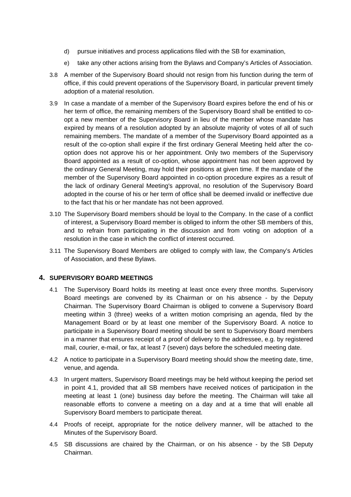- d) pursue initiatives and process applications filed with the SB for examination,
- e) take any other actions arising from the Bylaws and Company's Articles of Association.
- 3.8 A member of the Supervisory Board should not resign from his function during the term of office, if this could prevent operations of the Supervisory Board, in particular prevent timely adoption of a material resolution.
- 3.9 In case a mandate of a member of the Supervisory Board expires before the end of his or her term of office, the remaining members of the Supervisory Board shall be entitled to coopt a new member of the Supervisory Board in lieu of the member whose mandate has expired by means of a resolution adopted by an absolute majority of votes of all of such remaining members. The mandate of a member of the Supervisory Board appointed as a result of the co-option shall expire if the first ordinary General Meeting held after the cooption does not approve his or her appointment. Only two members of the Supervisory Board appointed as a result of co-option, whose appointment has not been approved by the ordinary General Meeting, may hold their positions at given time. If the mandate of the member of the Supervisory Board appointed in co-option procedure expires as a result of the lack of ordinary General Meeting's approval, no resolution of the Supervisory Board adopted in the course of his or her term of office shall be deemed invalid or ineffective due to the fact that his or her mandate has not been approved.
- 3.10 The Supervisory Board members should be loyal to the Company. In the case of a conflict of interest, a Supervisory Board member is obliged to inform the other SB members of this, and to refrain from participating in the discussion and from voting on adoption of a resolution in the case in which the conflict of interest occurred.
- 3.11 The Supervisory Board Members are obliged to comply with law, the Company's Articles of Association, and these Bylaws.

## **4. SUPERVISORY BOARD MEETINGS**

- 4.1 The Supervisory Board holds its meeting at least once every three months. Supervisory Board meetings are convened by its Chairman or on his absence - by the Deputy Chairman. The Supervisory Board Chairman is obliged to convene a Supervisory Board meeting within 3 (three) weeks of a written motion comprising an agenda, filed by the Management Board or by at least one member of the Supervisory Board. A notice to participate in a Supervisory Board meeting should be sent to Supervisory Board members in a manner that ensures receipt of a proof of delivery to the addressee, e.g. by registered mail, courier, e-mail, or fax, at least 7 (seven) days before the scheduled meeting date.
- 4.2 A notice to participate in a Supervisory Board meeting should show the meeting date, time, venue, and agenda.
- 4.3 In urgent matters, Supervisory Board meetings may be held without keeping the period set in point 4.1, provided that all SB members have received notices of participation in the meeting at least 1 (one) business day before the meeting. The Chairman will take all reasonable efforts to convene a meeting on a day and at a time that will enable all Supervisory Board members to participate thereat.
- 4.4 Proofs of receipt, appropriate for the notice delivery manner, will be attached to the Minutes of the Supervisory Board.
- 4.5 SB discussions are chaired by the Chairman, or on his absence by the SB Deputy Chairman.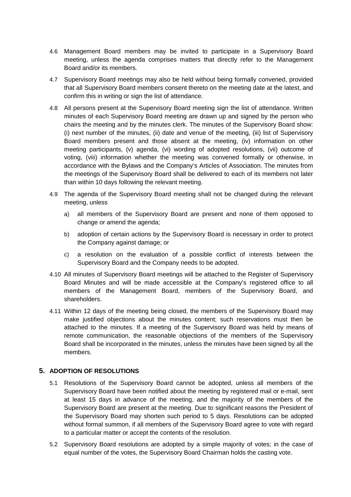- 4.6 Management Board members may be invited to participate in a Supervisory Board meeting, unless the agenda comprises matters that directly refer to the Management Board and/or its members.
- 4.7 Supervisory Board meetings may also be held without being formally convened, provided that all Supervisory Board members consent thereto on the meeting date at the latest, and confirm this in writing or sign the list of attendance.
- 4.8 All persons present at the Supervisory Board meeting sign the list of attendance. Written minutes of each Supervisory Board meeting are drawn up and signed by the person who chairs the meeting and by the minutes clerk. The minutes of the Supervisory Board show: (i) next number of the minutes, (ii) date and venue of the meeting, (iii) list of Supervisory Board members present and those absent at the meeting, (iv) information on other meeting participants, (v) agenda, (vi) wording of adopted resolutions, (vii) outcome of voting, (viii) information whether the meeting was convened formally or otherwise, in accordance with the Bylaws and the Company's Articles of Association. The minutes from the meetings of the Supervisory Board shall be delivered to each of its members not later than within 10 days following the relevant meeting.
- 4.9 The agenda of the Supervisory Board meeting shall not be changed during the relevant meeting, unless
	- a) all members of the Supervisory Board are present and none of them opposed to change or amend the agenda;
	- b) adoption of certain actions by the Supervisory Board is necessary in order to protect the Company against damage; or
	- c) a resolution on the evaluation of a possible conflict of interests between the Supervisory Board and the Company needs to be adopted.
- 4.10 All minutes of Supervisory Board meetings will be attached to the Register of Supervisory Board Minutes and will be made accessible at the Company's registered office to all members of the Management Board, members of the Supervisory Board, and shareholders.
- 4.11 Within 12 days of the meeting being closed, the members of the Supervisory Board may make justified objections about the minutes content; such reservations must then be attached to the minutes. If a meeting of the Supervisory Board was held by means of remote communication, the reasonable objections of the members of the Supervisory Board shall be incorporated in the minutes, unless the minutes have been signed by all the members.

## **5. ADOPTION OF RESOLUTIONS**

- 5.1 Resolutions of the Supervisory Board cannot be adopted, unless all members of the Supervisory Board have been notified about the meeting by registered mail or e-mail, sent at least 15 days in advance of the meeting, and the majority of the members of the Supervisory Board are present at the meeting. Due to significant reasons the President of the Supervisory Board may shorten such period to 5 days. Resolutions can be adopted without formal summon, if all members of the Supervisory Board agree to vote with regard to a particular matter or accept the contents of the resolution.
- 5.2 Supervisory Board resolutions are adopted by a simple majority of votes; in the case of equal number of the votes, the Supervisory Board Chairman holds the casting vote.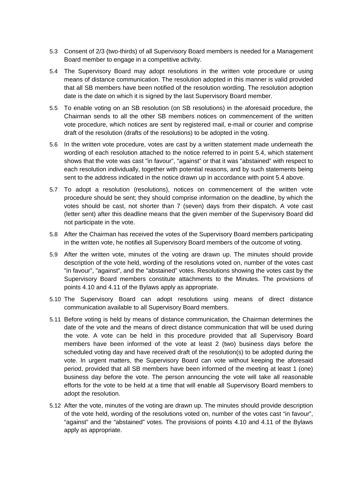- 5.3 Consent of 2/3 (two-thirds) of all Supervisory Board members is needed for a Management Board member to engage in a competitive activity.
- 5.4 The Supervisory Board may adopt resolutions in the written vote procedure or using means of distance communication. The resolution adopted in this manner is valid provided that all SB members have been notified of the resolution wording. The resolution adoption date is the date on which it is signed by the last Supervisory Board member.
- 5.5 To enable voting on an SB resolution (on SB resolutions) in the aforesaid procedure, the Chairman sends to all the other SB members notices on commencement of the written vote procedure, which notices are sent by registered mail, e-mail or courier and comprise draft of the resolution (drafts of the resolutions) to be adopted in the voting.
- 5.6 In the written vote procedure, votes are cast by a written statement made underneath the wording of each resolution attached to the notice referred to in point 5.4, which statement shows that the vote was cast "in favour", "against" or that it was "abstained" with respect to each resolution individually, together with potential reasons, and by such statements being sent to the address indicated in the notice drawn up in accordance with point 5.4 above.
- 5.7 To adopt a resolution (resolutions), notices on commencement of the written vote procedure should be sent; they should comprise information on the deadline, by which the votes should be cast, not shorter than 7 (seven) days from their dispatch. A vote cast (letter sent) after this deadline means that the given member of the Supervisory Board did not participate in the vote.
- 5.8 After the Chairman has received the votes of the Supervisory Board members participating in the written vote, he notifies all Supervisory Board members of the outcome of voting.
- 5.9 After the written vote, minutes of the voting are drawn up. The minutes should provide description of the vote held, wording of the resolutions voted on, number of the votes cast "in favour", "against", and the "abstained" votes. Resolutions showing the votes cast by the Supervisory Board members constitute attachments to the Minutes. The provisions of points 4.10 and 4.11 of the Bylaws apply as appropriate.
- 5.10 The Supervisory Board can adopt resolutions using means of direct distance communication available to all Supervisory Board members.
- 5.11 Before voting is held by means of distance communication, the Chairman determines the date of the vote and the means of direct distance communication that will be used during the vote. A vote can be held in this procedure provided that all Supervisory Board members have been informed of the vote at least 2 (two) business days before the scheduled voting day and have received draft of the resolution(s) to be adopted during the vote. In urgent matters, the Supervisory Board can vote without keeping the aforesaid period, provided that all SB members have been informed of the meeting at least 1 (one) business day before the vote. The person announcing the vote will take all reasonable efforts for the vote to be held at a time that will enable all Supervisory Board members to adopt the resolution.
- 5.12 After the vote, minutes of the voting are drawn up. The minutes should provide description of the vote held, wording of the resolutions voted on, number of the votes cast "in favour", "against" and the "abstained" votes. The provisions of points 4.10 and 4.11 of the Bylaws apply as appropriate.